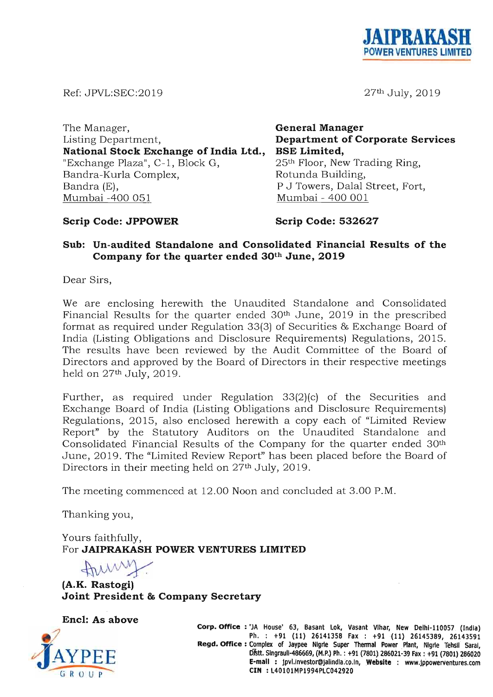

27th July, 2019

Ref: JPVL:SEC:20 19

The Manager, Listing Department, **General Manager National Stock Exchange of India Ltd.,**  "Exchange Plaza", C-1, Block G, Bandra-Kurla Complex, **Department of Corporate Services BSE Limited,**  25th Floor, New Trading Ring, Rotunda Building, Bandra (E), Mumbai -400 051 P J Towers, Dalal Street, Fort, Mumbai - 400 001

### **Scrip Code: JPPOWER**

**Scrip Code: 532627** 

## **Sub: Un-audited Standalone and Consolidated Financial Results of the Company for the quarter ended 30th June, 2019**

Dear Sirs,

We are enclosing herewith the Unaudited Standalone and Consolidated Financial Results for the quarter ended 30<sup>th</sup> June, 2019 in the prescribed format as required under Regulation 33(3) of Securities & Exchange Board of India (Listing Obligations and Disclosure Requirements) Regulations, 2015. The results have been reviewed by the Audit Committee of the Board of Directors and approved by the Board of Directors in their respective meetings held on 27th July, 2019.

Further, as required under Regulation 33(2)(c) of the Securities and Exchange Board of India (Listing Obligations and Disclosure Requirements) Regulations, 2015, also enclosed herewith a copy each of "Limited Review Report" by the Statutory Auditors on the Unaudited Standalone and Consolidated Financial Results of the Company for the quarter ended 30th June, 2019. The "Limited Review Report" has been placed before the Board of Directors in their meeting held on 27<sup>th</sup> July, 2019.

The meeting commenced at 12.00 Noon and concluded at 3.00 P.M.

Thanking you,

Yours faithfully, For **JAIPRAKASH POWER VENTURES LIMITED**  Yours faithfully,<br>For **JAIPRAKASH POWER VENT**<br>(A.K. Rastogi)

**Joint President & Company Secretary** 





**Corp. Office: 'JA House' 63, Basant Lok, Vasant Vlhar, New Delhl-l10057 . (India) Ph. :+91 (11) 26141358 Fax: +91(11) 26145389, 26143591**  Regd. Office: Complex of Jaypee Nigrie Super Thermal Power Plant, Nigrie Tehsil Saral, **Dfstt.Slngraull-486669, (M.P.) Ph. : +91 (7801) 286021-39 Fax: +91(7801) 286020 E-mail: jpvl.investor@jalindla.co.ln, Website : www.jppowerventures.com CIN : L40101MP1994PLC042920**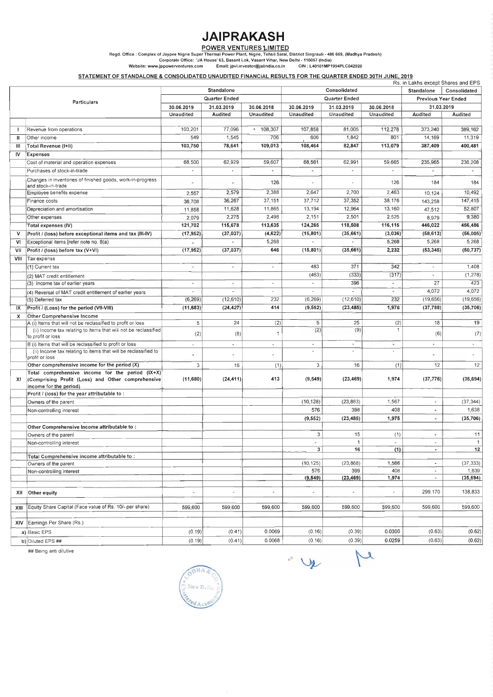# **JAIPRAKASH**

#### **POWER VENTURES l.JMITED**

Regd. Office: Complex of Jaypee Nigrie Super Thermal Power Plant, Nigrie, Tehsil Sarai, District Singrauli - 486669, (Madhya Pradesh)

Corporate Office: 'JA House' 63, Basant Lok, Vasant Vihar, New Delhi -110057 (India)

Website: www.jppowerventures.com Email: jpvl.investor@jalindia.co.in CIN : L40101 MP1994PLC042920

## STATEMENT OF STANDALONE & CONSOLIDATED UNAUDITED FINANCIAL RESULTS FOR THE QUARTER ENDED 30TH JUNE, 2019

|              |                                                                                                                                 |                                       |                          |                          |                          |                          |                            | Rs. in Lakhs except Shares and EPS |           |
|--------------|---------------------------------------------------------------------------------------------------------------------------------|---------------------------------------|--------------------------|--------------------------|--------------------------|--------------------------|----------------------------|------------------------------------|-----------|
|              |                                                                                                                                 | <b>Standalone</b>                     |                          |                          |                          | Consolidated             | <b>Standalone</b>          | Consolidated                       |           |
|              | <b>Particulars</b>                                                                                                              | <b>Quarter Ended</b>                  |                          |                          | Quarter Ended            |                          | <b>Previous Year Ended</b> |                                    |           |
|              |                                                                                                                                 | 30.06.2019                            | 31.03.2019               | 30.06.2018               | 30.06.2019               | 31.03.2019               | 30.06.2018                 | 31.03.2019                         |           |
|              |                                                                                                                                 | Unaudited                             | Audited                  | Unaudited                | <b>Unaudited</b>         | Unaudited                | <b>Unaudited</b>           | <b>Audited</b>                     | Audited   |
|              |                                                                                                                                 |                                       |                          |                          |                          |                          |                            |                                    |           |
|              | Revenue from operations                                                                                                         | 103,201                               | 77,096                   | $* 108,307$              | 107,858                  | 81,005                   | 112,278                    | 373,240                            | 389,162   |
| Ш            | Other income                                                                                                                    | 549                                   | 1,545                    | 706                      | 606                      | 1,842                    | 801                        | 14,169                             | 11,319    |
| Ш            | <b>Total Revenue (I+II)</b>                                                                                                     | 103,750                               | 78,641                   | 109,013                  | 108,464                  | 82,847                   | 113,079                    | 387,409                            | 400,481   |
| <b>IV</b>    | <b>Expenses</b>                                                                                                                 |                                       |                          |                          |                          |                          |                            |                                    |           |
|              | Cost of material and operation expenses                                                                                         | 68,500                                | 62,929                   | 59,607                   | 68,561                   | 62,991                   | 59,665                     | 235,965                            | 236,208   |
|              | Purchases of stock-in-trade                                                                                                     | $\blacksquare$                        |                          |                          | $\overline{\phantom{a}}$ | $\overline{\phantom{a}}$ |                            |                                    |           |
|              |                                                                                                                                 |                                       |                          |                          |                          |                          |                            |                                    |           |
|              | Changes in inventories of finished goods, work-in-progress<br>and stock-in-trade                                                | ×,                                    |                          | 126                      |                          | $\overline{\phantom{a}}$ | 126                        | 184                                | 184       |
|              | Employee benefits expense                                                                                                       | 2,557                                 | 2,579                    | 2,388                    | 2,647                    | 2,700                    | 2,463                      | 10,124                             | 10,492    |
|              | Finance costs                                                                                                                   | 36,708                                | 36,267                   | 37,151                   | 37,712                   | 37,352                   | 38,176                     | 143,258                            | 147,415   |
|              | Depreciation and amortisation                                                                                                   | 11,858                                | 11,628                   | 11,865                   | 13,194                   | 12,964                   | 13,160                     | 47,512                             | 52,807    |
|              | Other expenses                                                                                                                  | 2,079                                 | 2,275                    | 2,498                    | 2,151                    | 2,501                    | 2,525                      | 8,979                              | 9,380     |
|              | <b>Total expenses (IV)</b>                                                                                                      | 121,702                               | 115,678                  | 113,635                  | 124,265                  | 118,508                  | 116,115                    | 446,022                            | 456,486   |
| $\mathsf{V}$ | Profit / (loss) before exceptional items and tax (III-IV)                                                                       | (17, 952)                             | (37, 037)                | (4,622)                  | (15, 801)                | (35, 661)                | (3,036)                    | (58, 613)                          | (56,005)  |
| VI           | Exceptional items [refer note no. 8(a)                                                                                          |                                       |                          | 5,268                    |                          |                          | 5,268                      | 5,268                              | 5,268     |
| VII          | Profit / (loss) before tax (V+VI)                                                                                               | $\overline{\phantom{a}}$<br>(17, 952) | (37, 037)                | 646                      | (15, 801)                | (35, 661)                | 2,232                      | (53, 345)                          | (50, 737) |
|              |                                                                                                                                 |                                       |                          |                          |                          |                          |                            |                                    |           |
| VIII         | Tax expense                                                                                                                     |                                       |                          |                          |                          |                          |                            |                                    |           |
|              | (1) Current tax                                                                                                                 | $\blacksquare$                        | $\overline{\phantom{a}}$ |                          | 483                      | 371                      | 342                        |                                    | 1,408     |
|              | (2) MAT credit entitlement                                                                                                      |                                       |                          |                          | (463)                    | (333)                    | (317)                      |                                    | (1, 278)  |
|              | (3) Income tax of earlier years                                                                                                 | $\blacksquare$                        | $\bullet$                |                          | $\overline{\phantom{0}}$ | 396                      |                            | 27                                 | 423       |
|              | (4) Reversal of MAT credit entitlement of earlier years                                                                         |                                       |                          |                          |                          |                          |                            | 4,072                              | 4,072     |
|              | (5) Deferred tax                                                                                                                | (6, 269)                              | (12,610)                 | 232                      | (6, 269)                 | (12,610)                 | 232                        | (19, 656)                          | (19, 656) |
| IX           | Profit / (Loss) for the period (VII-VIII)                                                                                       | (11,683)                              | (24, 427)                | 414                      | (9, 552)                 | (23, 485)                | 1,975                      | (37, 788)                          | (35, 706) |
| X            | Other Comprehensive Income                                                                                                      |                                       |                          |                          |                          |                          |                            |                                    |           |
|              | $\overline{A}$ (i) Items that will not be reclassified to profit or loss                                                        | 5                                     | 24                       | (2)                      | 5                        | 25                       | (2)                        | 18                                 | 19        |
|              | (ii) Income tax relating to items that will not be reclassified<br>to profit or loss                                            | (2)                                   | (8)                      | 1                        | (2)                      | (9)                      |                            | (6)                                | (7)       |
|              | B (i) Items that will be reclassified to profit or loss                                                                         | $\blacksquare$                        |                          | $\overline{\phantom{a}}$ |                          |                          | ×.                         |                                    |           |
|              | (ii) Income tax relating to items that will be reclassified to                                                                  |                                       |                          |                          |                          |                          |                            |                                    |           |
|              | profit or loss                                                                                                                  | $\blacksquare$                        |                          |                          |                          |                          |                            |                                    |           |
|              | Other comprehensive income for the period (X)                                                                                   | 3                                     | 16                       | (1)                      | 3                        | 16                       | (1)                        | 12                                 | 12        |
| XI.          | Total comprehensive income for the period (IX+X)<br>(Comprising Profit (Loss) and Other comprehensive<br>income for the period) | (11,680)                              | (24, 411)                | 413                      | (9, 549)                 | (23, 469)                | 1,974                      | (37, 776)                          | (35, 694) |
|              | Profit / (loss) for the year attributable to:                                                                                   |                                       |                          |                          |                          |                          |                            |                                    |           |
|              | Owners of the parent                                                                                                            |                                       |                          |                          | (10, 128)                | (23, 883)                | 1,567                      | $\sim$                             | (37, 344) |
|              | Non-controlling interest                                                                                                        |                                       |                          |                          | 576                      | 398                      | 408                        |                                    | 1,638     |
|              |                                                                                                                                 |                                       |                          |                          | (9, 552)                 | (23, 485)                | 1,975                      |                                    | (35, 706) |
|              | Other Comprehensive Income attributable to:                                                                                     |                                       |                          |                          |                          |                          |                            |                                    |           |
|              | Owners of the parent                                                                                                            |                                       |                          |                          | 3                        | 15                       | (1)                        |                                    | 11        |
|              | Non-controlling interest                                                                                                        |                                       |                          |                          |                          |                          |                            |                                    |           |
|              |                                                                                                                                 |                                       |                          |                          | 3                        | 16                       | (1)                        |                                    | 12        |
|              | Total Comprehensive income attributable to:                                                                                     |                                       |                          |                          |                          |                          |                            |                                    |           |
|              | Owners of the parent                                                                                                            |                                       |                          |                          | (10, 125)                | (23, 868)                | 1,566                      |                                    | (37, 333) |
|              | Non-controlling interest                                                                                                        |                                       |                          |                          | 576                      | 399<br>(23, 469)         | 408<br>1,974               |                                    | 1,639     |
|              |                                                                                                                                 |                                       |                          |                          | (9, 549)                 |                          |                            |                                    | (35, 694) |
| ХII          | Other equity                                                                                                                    | $\overline{\phantom{a}}$              | a,                       |                          |                          | $\overline{\phantom{a}}$ |                            | 299.170                            | 138,833   |
| XIII         | Equity Share Capital (Face value of Rs. 10/- per share)                                                                         | 599,600                               | 599,600                  | 599,600                  | 599,600                  | 599,600                  | 599,600                    | 599,600                            | 599,600   |
|              |                                                                                                                                 |                                       |                          |                          |                          |                          |                            |                                    |           |
| XIV.         | Earnings Per Share (Rs.)                                                                                                        |                                       |                          |                          |                          |                          |                            |                                    |           |
|              | a) Basic EPS                                                                                                                    | (0.19)                                | (0.41)                   | 0.0069                   | (0.16)                   | (0.39)                   | 0.0300                     | (0.63)                             | (0.62)    |
|              | b) Diluted EPS ##                                                                                                               | (0.19)                                | (0.41)                   | 0.0068                   | (0.16)                   | (0.39)                   | 0.0259                     | (0.63)                             | (0.62)    |

## Being anti dilutive



 $\mathbf{r}$ ye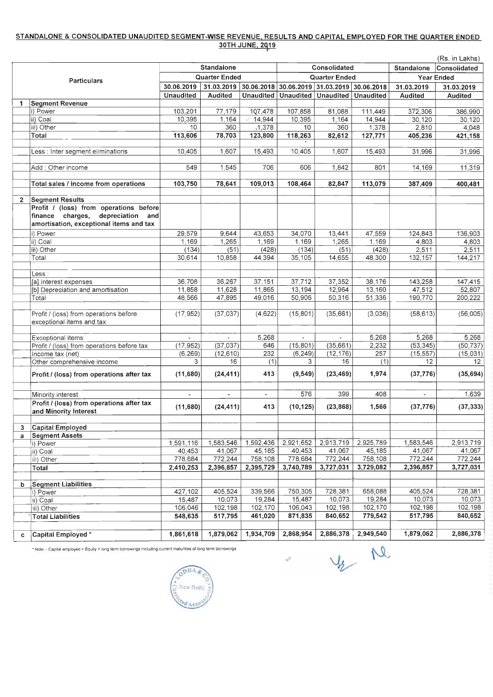## **STANDALONE & CONSOLIDATED UNAUDITED SEGMENT-WISE REVENUE, RESULTS AND CAPITAL EMPLOYED FOR THE QUARTER ENDED 30TH JUNE, 2019**

(Rs. in Lakhs)

|                    |                                                                              | <b>Standalone</b>        |                             |                  | <b>Consolidated</b>  |                                  |              | <b>Standalone</b>        | Consolidated   |  |
|--------------------|------------------------------------------------------------------------------|--------------------------|-----------------------------|------------------|----------------------|----------------------------------|--------------|--------------------------|----------------|--|
| <b>Particulars</b> |                                                                              | <b>Quarter Ended</b>     |                             |                  | <b>Quarter Ended</b> |                                  |              | <b>Year Ended</b>        |                |  |
|                    |                                                                              | 30.06.2019               | 31.03.2019                  | 30.06.2018       |                      | 30.06.2019 31.03.2019 30.06.2018 |              | 31.03.2019               | 31.03.2019     |  |
|                    |                                                                              | <b>Unaudited</b>         | <b>Audited</b>              | <b>Unaudited</b> | Unaudited            | Unaudited   Unaudited            |              | <b>Audited</b>           | <b>Audited</b> |  |
| 1                  | <b>Segment Revenue</b>                                                       |                          |                             |                  |                      |                                  |              |                          |                |  |
|                    | i) Power                                                                     | 103,201                  | 77,179                      | 107,478          | 107,858              | 81,088                           | 111,449      | 372,306                  | 386,990        |  |
|                    | ii) Coal                                                                     | 10,395                   | 1,164                       | 14,944           | 10,395               | 1,164                            | 14,944       | 30,120                   | 30,120         |  |
|                    | iii) Other                                                                   | 10                       | 360                         | ,1,378           | 10                   | 360                              | 1,378        | 2,810                    | 4,048          |  |
|                    | <b>Total</b>                                                                 | 113,606                  | 78,703                      | 123,800          | 118,263              | 82,612                           | 127,771      | 405,236                  | 421,158        |  |
|                    | Less : Inter segment eliminations                                            | 10,405                   | 1,607                       | 15,493           | 10,405               | 1,607                            | 15,493       | 31,996                   | 31,996         |  |
|                    | Add: Other income                                                            | 549                      | 1,545                       | 706              | 606                  | 1,842                            | 801          | 14,169                   | 11,319         |  |
|                    | Total sales / income from operations                                         | 103,750                  | 78,641                      | 109,013          | 108,464              | 82,847                           | 113,079      | 387,409                  | 400,481        |  |
| 2 <sup>1</sup>     | <b>Segment Results</b>                                                       |                          |                             |                  |                      |                                  |              |                          |                |  |
|                    | Profit / (loss) from operations before                                       |                          |                             |                  |                      |                                  |              |                          |                |  |
|                    | finance charges, depreciation and<br>amortisation, exceptional items and tax |                          |                             |                  |                      |                                  |              |                          |                |  |
|                    | i) Power                                                                     | 29,579                   | 9,644                       | 43,653           | 34,070               | 13,441                           | 47,559       | 124,843                  | 136,903        |  |
|                    | ii) Coal                                                                     | 1,169                    | 1,265                       | 1,169            | 1,169                | 1,265                            | 1,169        | 4,803                    | 4,803          |  |
|                    | iii) Other                                                                   | (134)                    | (51)                        | (428)            | (134)                | (51)                             | (428)        | 2,511                    | 2,511          |  |
|                    | Total                                                                        | 30,614                   | 10,858                      | 44,394           | 35,105               | 14,655                           | 48,300       | 132,157                  | 144,217        |  |
|                    |                                                                              |                          |                             |                  |                      |                                  |              |                          |                |  |
|                    | Less :                                                                       |                          |                             |                  |                      |                                  |              |                          |                |  |
|                    | [a] Interest expenses                                                        | 36,708                   | 36,267                      | 37,151           | 37,712               | 37,352                           | 38,176       | 143,258                  | 147,415        |  |
|                    | [b] Depreciation and amortisation                                            | 11,858                   | 11,628                      | 11,865           | 13,194               | 12,964                           | 13,160       | 47,512                   | 52,807         |  |
|                    | Total                                                                        | 48,566                   | 47,895                      | 49,016           | 50,906               | 50,316                           | 51,336       | 190,770                  | 200,222        |  |
|                    |                                                                              |                          |                             |                  |                      |                                  |              |                          |                |  |
|                    | Profit / (loss) from operations before<br>exceptional items and tax          | (17, 952)                | (37,037)                    | (4,622)          | (15, 801)            | (35,661)                         | (3,036)      | (58, 613)                | (56,005)       |  |
|                    |                                                                              |                          |                             |                  |                      |                                  |              |                          |                |  |
|                    | <b>Exceptional items</b>                                                     | $\overline{\phantom{a}}$ |                             | 5,268            | $\sim$               |                                  | 5,268        | 5,268                    | 5,268          |  |
|                    | Profit / (loss) from operations before tax                                   | (17, 952)                | (37,037)                    | 646              | (15, 801)            | (35,661)                         | 2,232        | (53, 345)                | (50, 737)      |  |
|                    | Income tax (net)                                                             | (6, 269)                 | (12,610)<br>16 <sup>°</sup> | 232              | (6, 249)<br>3        | (12, 176)<br>16                  | 257          | (15, 557)<br>12          | (15,031)<br>12 |  |
|                    | Other comprehensive income<br>Profit / (loss) from operations after tax      | 3<br>(11,680)            | (24, 411)                   | (1)<br>413       | (9, 549)             | (23, 469)                        | (1)<br>1,974 | (37, 776)                | (35, 694)      |  |
|                    |                                                                              |                          |                             |                  |                      |                                  |              |                          |                |  |
|                    | Minority interest                                                            | $\overline{\phantom{a}}$ | $\blacksquare$              | $\blacksquare$   | 576                  | 399                              | 408          | $\overline{\phantom{a}}$ | 1,639          |  |
|                    | Profit / (loss) from operations after tax<br>and Minority Interest           | (11,680)                 | (24, 411)                   | 413              | (10, 125)            | (23, 868)                        | 1,566        | (37, 776)                | (37, 333)      |  |
|                    |                                                                              |                          |                             |                  |                      |                                  |              |                          |                |  |
| $\mathbf{3}$       | <b>Capital Employed</b>                                                      |                          |                             |                  |                      |                                  |              |                          |                |  |
| $\mathbf{a}$       | <b>Segment Assets</b>                                                        | 1,591,116                | 1,583,546                   | 1,592,436        | 2,921,652            | 2,913,719                        | 2,925,789    | 1,583,546                | 2,913,719      |  |
|                    | i) Power<br>ii) Coal                                                         | 40,453                   | 41,067                      | 45,185           | 40,453               | 41,067                           | 45,185       | 41,067                   | 41,067         |  |
|                    | iii) Other                                                                   | 778,684                  | 772,244                     | 758,108          | 778,684              | 772,244                          | 758,108      | 772,244                  | 772,244        |  |
|                    | <b>Total</b>                                                                 | 2,410,253                | 2,396,857                   | 2,395,729        | 3,740,789            | 3,727,031                        | 3,729,082    | 2,396,857                | 3,727,031      |  |
|                    | <b>Segment Liabilities</b>                                                   |                          |                             |                  |                      |                                  |              |                          |                |  |
| $\mathbf b$        | Power                                                                        | 427,102                  | 405,524                     | 339,566          | 750,305              | 728,381                          | 658,088      | 405,524                  | 728,381        |  |
|                    | lii) Coal                                                                    | 15,487                   | 10,073                      | 19,284           | 15,487               | 10,073                           | 19,284       | 10,073                   | 10,073         |  |
|                    | iii) Other                                                                   | 106,046                  | 102,198                     | 102,170          | 106,043              | 102,198                          | 102,170      | 102,198                  | 102,198        |  |
|                    | <b>Total Liabilities</b>                                                     | 548,635                  | 517,795                     | 461,020          | 871,835              | 840,652                          | 779,542      | 517,795                  | 840,652        |  |
|                    |                                                                              |                          |                             |                  |                      |                                  |              |                          |                |  |

| Capital<br>Employed | 1.861,618 | 1,879,062 | 1,934,709 | 2.868.954 | 2,886,378 | 2,949,540 | .,879,062 | 2,886,378 |
|---------------------|-----------|-----------|-----------|-----------|-----------|-----------|-----------|-----------|

 $\epsilon^{\rm R}$ 

 $V_2$  M

\* Note :- Capital employed = Equity + long term borrowings including current maturities of long term borrowings

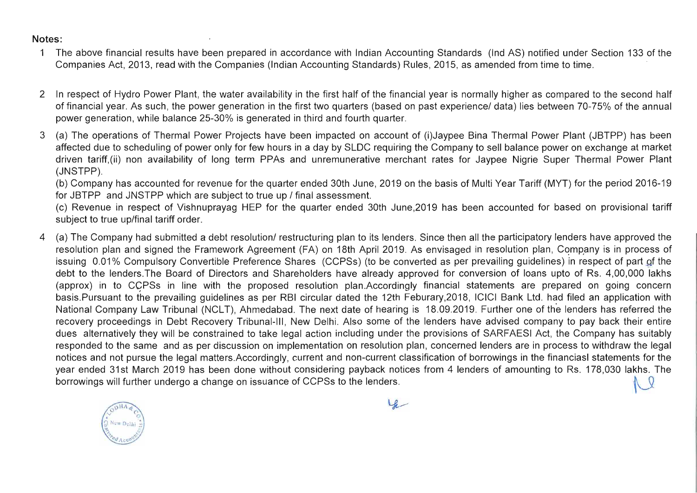## **Notes:**

- 1 The above financial results have been prepared in accordance with Indian Accounting Standards (Ind AS) notified under Section 133 of the Companies Act, 2013, read with the Companies (Indian Accounting Standards) Rules, 2015, as amended from time to time.
- 2 In respect of Hydro Power Plant, the water availability in the first half of the financial year is normally higher as compared to the second half of financial year. As such, the power generation in the first two quarters (based on past experience/ data) lies between 70-75% of the annual power generation, while balance 25-30% is generated in third and fourth quarter.
- 3 (a) The operations of Thermal Power Projects have been impacted on account of (i)Jaypee Bina Thermal Power Plant (JBTPP) has been affected due to scheduling of power only for few hours in a day by SLDC requiring the Company to sell balance power on exchange at market driven tariff,(ii) non availability of long term PPAs and unremunerative merchant rates for Jaypee Nigrie Super Thermal Power Plant (JNSTPP).

4 (a) The Company had submitted a debt resolution/ restructuring plan to its lenders. Since then all the participatory lenders have approved the resolution plan and signed the Framework Agreement (FA) on 18th April 2019. As envisaged in resolution plan, Company is in process of issuing 0.01% Compulsory Convertible Preference Shares (CCPSs) (to be converted as per prevailing guidelines) in respect of part of the debt to the lenders.The Board of Directors and Shareholders have already approved for conversion of loans upto of Rs. 4,00,000 lakhs (approx) in to CCPSs in line with the proposed resolution plan.Accordingly financial statements are prepared on going concern basis.Pursuant to the prevailing guidelines as per RBI circular dated the 12th Feburary,2018, ICICI Bank Ltd. had filed an application with National Company Law Tribunal (NCLT), Ahmedabad. The next date of hearing is 18.09.2019. Further one of the lenders has referred the recovery proceedings in Debt Recovery Tribunal-III, New Delhi. Also some of the lenders have advised company to pay back their entire dues alternatively they will be constrained to take legal action including under the provisions of SARFAESI Act, the Company has suitably responded to the same and as per discussion on implementation on resolution plan, concerned lenders are in process to withdraw the legal notices and not pursue the legal matters.Accordingly, current and non-current classification of borrowings in the financiasl statements for the year ended 31st March 2019 has been done without considering payback notices from 4 lenders of amounting to Rs. 178,030 lakhs. The<br>borrowings will further undergo a change on issuance of CCPSs to the lenders.



(b) Company has accounted for revenue for the quarter ended 30th June, 2019 on the basis of Multi Year Tariff (MYT) for the period 2016-19 for JBTPP and JNSTPP which are subject to true up / final assessment.

(c) Revenue in respect of Vishnuprayag HEP for the quarter ended 30th June,2019 has been accounted for based on provisional tariff subject to true up/final tariff order.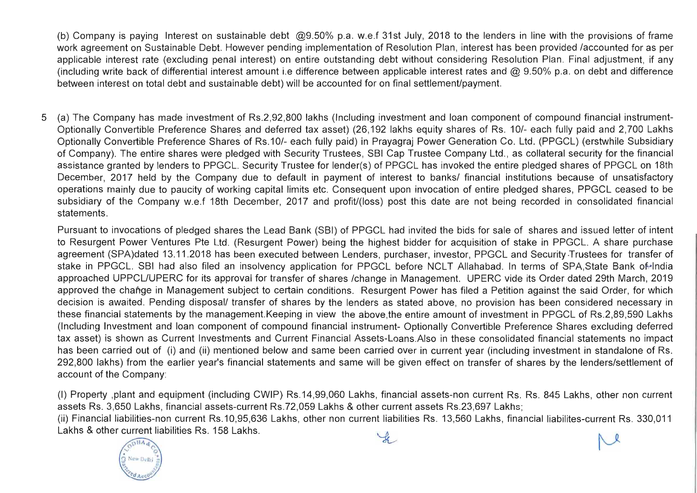(b) Company is paying Interest on sustainable debt @9.50% p.a. w.e.f 31st July, 2018 to the lenders in line with the provisions of frame work agreement on Sustainable Debt. However pending implementation of Resolution Plan, interest has been provided /accounted for as per applicable interest rate (excluding penal interest) on entire outstanding debt without considering Resolution Plan. Final adjustment, if any (including write back of differential interest amount i.e difference between applicable interest rates and  $@$  9.50% p.a. on debt and difference between interest on total debt and sustainable debt) will be accounted for on final settlement/payment.

5 (a) The Company has made investment of Rs.2,92,800 lakhs (Including investment and loan component of compound financial instrument-Optionally Convertible Preference Shares and deferred tax asset) (26,192 lakhs equity shares of Rs. 10/- each fully paid and 2,700 Lakhs Optionally Convertible Preference Shares of Rs.10/- each fully paid) in Prayagraj Power Generation Co. Ltd. (PPGCL) (erstwhile Subsidiary of Company). The entire shares were pledged with Security Trustees, SBI Cap Trustee Company Ltd., as collateral security for the financial assistance granted by lenders to PPGCL. Security Trustee for lender(s) of PPGCL has invoked the entire pledged shares of PPGCL on 18th December, 2017 held by the Company due to default in payment of interest to banks/ financial institutions because of unsatisfactory operations mainly due to paucity of working capital limits etc. Consequent upon invocation of entire pledged shares, PPGCL ceased to be subsidiary of the Company w.e.f 18th December, 2017 and profit/(loss) post this date are not being recorded in consolidated financial statements.

Pursuant to invocations of pledged shares the Lead Bank (SBI) of PPGCL had invited the bids for sale of shares and issued letter of intent to Resurgent Power Ventures Pte Ltd. (Resurgent Power) being the highest bidder for acquisition of stake in PPGCL. A share purchase agreement (SPA)dated 13.11.2018 has been executed between Lenders, purchaser, investor, PPGCL and Security ·Trustees for transfer of stake in PPGCL. SBI had also filed an insolvency application for PPGCL before NCLT Allahabad. In terms of SPA,State Bank of lndia approached UPPCL/UPERC for its approval for transfer of shares /change in Management. UPERC vide its Order dated 29th March, 2019 approved the change in Management subject to certain conditions. Resurgent Power has filed a Petition against the said Order, for which decision is awaited. Pending disposal/ transfer of shares by the lenders as stated above, no provision has been considered necessary in these financial statements by the management.Keeping in view the above,the entire amount of investment in PPGCL of Rs.2,89,590 Lakhs (Including Investment and loan component of compound financial instrument- Optionally Convertible Preference Shares excluding deferred tax asset) is shown as Current Investments and Current Financial Assets-Loans.Also in these consolidated financial statements no impact has been carried out of (i) and (ii) mentioned below and same been carried over in current year (including investment in standalone of Rs. 292,800 lakhs) from the earlier year's financial statements and same will be given effect on transfer of shares by the lenders/settlement of account of the Company:

(I) Property ,plant and equipment (including CWIP) Rs.14,99,060 Lakhs, financial assets-non current Rs. Rs. 845 Lakhs, other non current assets Rs. 3,650 Lakhs, financial assets-current Rs.72,059 Lakhs & other current assets Rs.23,697 Lakhs; (ii) Financial liabilities-non current Rs.10,95,636 Lakhs, other non current liabilities Rs. 13,560 Lakhs, financial liabilites-current Rs. 330,011 Lakhs & other current liabilities Rs. 158 Lakhs.



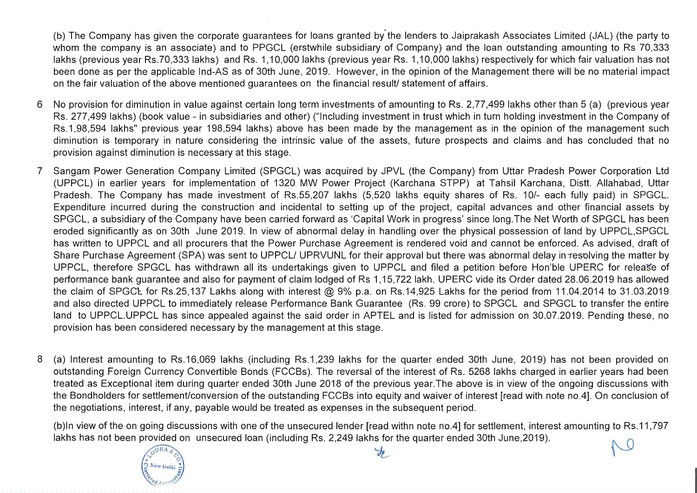· (b) The Company has given the corporate guarantees for loans granted by the lenders to Jaiprakash Associates Limited (JAL) (the party to whom the company is an associate) and to PPGCL (erstwhile subsidiary of Company) and the loan outstanding amounting to Rs 70,333 lakhs (previous year Rs.70,333 lakhs) and Rs. 1,10,000 lakhs (previous year Rs. 1,10,000 lakhs) respectively for which fair valuation has not been done as per the applicable Ind-AS as of 30th June, 2019. However, in the opinion of the Management there will be no material impact on the fair valuation of the above mentioned guarantees on the financial result/ statement of affairs.

(b)ln view of the on going discussions with one of the unsecured lender [read withn note no.4] for settlement, interest amounting to Rs.11 ,797 lakhs has not been provided on unsecured loan (including Rs. 2,249 lakhs for the quarter ended 30th June,2019).





- 6 No provision for diminution in value against certain long term investments of amounting to Rs. 2,77,499 lakhs other than 5 (a) (previous year Rs. 277,499 lakhs) (book value - in subsidiaries and other) ("Including investment in trust which in turn holding investment in the Company of Rs.1,98,594 lakhs" previous year 198,594 lakhs) above has been made by the management as in the opinion of the management such diminution is temporary in nature considering the intrinsic value of the assets, future prospects and claims and has concluded that no provision against diminution is necessary at this stage.
- 7 Sangam Power Generation Company Limited (SPGCL) was acquired by JPVL (the Company) from Uttar Pradesh Power Corporation Ltd (UPPCL) in earlier years for implementation of 1320 MW Power Project (Karchana STPP) at Tahsil Karchana, Distt. Allahabad, Uttar Pradesh. The Company has made investment of Rs.55,207 lakhs (5,520 lakhs equity shares of Rs. 10/- each fully paid) in SPGCL. Expenditure incurred during the construction and incidental to setting up of the project, capital advances and other financial assets by SPGCL, a subsidiary of the Company have been carried forward as 'Capital Work in progress' since 10ng.The Net Worth of SPGCL has been eroded significantly as on 30th June 2019. In view of abnormal delay in handling over the physical possession of land by UPPCL,SPGCL has written to UPPCL and all procurers that the Power Purchase Agreement is rendered void and cannot be enforced. As advised, draft of Share Purchase Agreement (SPA) was sent to UPPCL/ UPRVUNL for their approval but there was abnormal delay in resolving the matter by UPPCL, therefore SPGCL has withdrawn all its undertakings given to UPPCL and filed a petition before Hon'ble UPERC for release of performance bank guarantee and also for payment of claim lodged of Rs 1,15,722 lakh. UPERC vide its Order dated 28.06.2019 has allowed the claim of SPGCL for Rs.25,137 Lakhs along with interest @ 9% p.a. on Rs.14,925 Lakhs for the period from 11.04.2014 to 31.03.2019 and also directed UPPCL to immediately release Performance Bank Guarantee (Rs. 99 crore) to SPGCL and SPGCL to transfer the entire land to UPPCL.UPPCL has since appealed against the said order in APTEL and is listed for admission on 30.07.2019. Pending these, no provision has been considered necessary by the management at this stage.
- 8 (a) Interest amounting to Rs.16,069 lakhs (including Rs.1,239 lakhs for the quarter ended 30th June, 2019) has not been provided on outstanding Foreign Currency Convertible Bonds (FCCBs). The reversal of the interest of Rs. 5268 lakhs charged in earlier years had been treated as Exceptional item during quarter ended 30th June 2018 of the previous year.The above is in view of the ongoing discussions with the Bondholders for settlement/conversion of the outstanding FCCBs into equity and waiver of interest [read with note no.4]. On conclusion of the negotiations, interest, if any, payable would be treated as expenses in the subsequent period.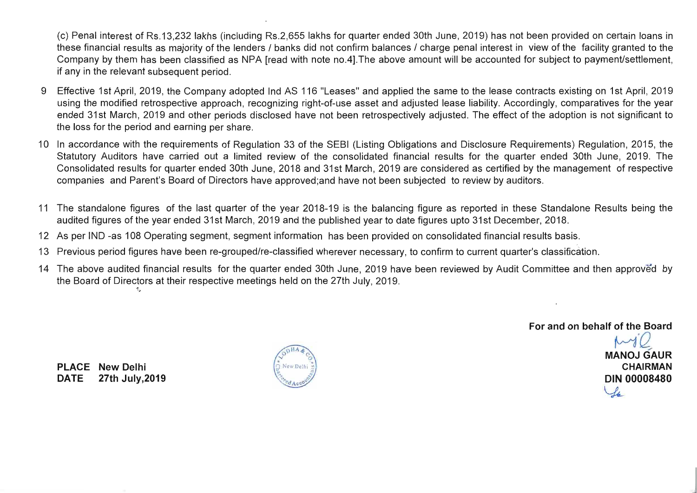(c) Penal interest of Rs.13,232 lakhs (including Rs.2,655 lakhs for quarter ended 30th June, 2019) has not been provided on certain loans in these financial results as majority of the lenders / banks did not confirm balances / charge penal interest in view of the facility granted to the Company by them has been classified as NPA [read with note no.4].The above amount will be accounted for subject to payment/settlement, if any in the relevant subsequent period.

- 9 Effective 1st April, 2019, the Company adopted Ind AS 116 "Leases" and applied the same to the lease contracts existing on 1st April, 2019 using the modified retrospective approach, recognizing right-of-use asset and adjusted lease liability. Accordingly, comparatives for the year ended 31st March, 2019 and other periods disclosed have not been retrospectively adjusted. The effect of the adoption is not significant to the loss for the period and earning per share.
- 10 In accordance with the requirements of Regulation 33 of the SEBI (Listing Obligations and Disclosure Requirements) Regulation, 2015, the Statutory Auditors have carried out a limited review of the consolidated financial results for the quarter ended 30th June, 2019. The Consolidated results for quarter ended 30th June, 2018 and 31st March, 2019 are considered as certified by the management of respective companies and Parent's Board of Directors have approved;and have not been subjected to review by auditors.
- 11 The standalone figures of the last quarter of the year 2018-19 is the balancing figure as reported in these Standalone Results being the audited figures of the year ended 31st March, 2019 and the published year to date figures upto 31st December, 2018.
- 12 As per IND -as 108 Operating segment, segment information has been provided on consolidated financial results basis.
- 13 Previous period figures have been re-grouped/re-classified wherever necessary, to confirm to current quarter's classification.
- 14 The above audited financial results for the quarter ended 30th June, 2019 have been reviewed by Audit Committee and then approved by the Board of Directors at their respective meetings held on the 27th July, 2019.

**For and on behalf of the Board** 

**MANOJ GAUR CHAIRMAN DIN 00008480**   $\mathcal{L}_4$ 

**PLACE New Delhi DATE 27th July,2019** 

 $-$ 

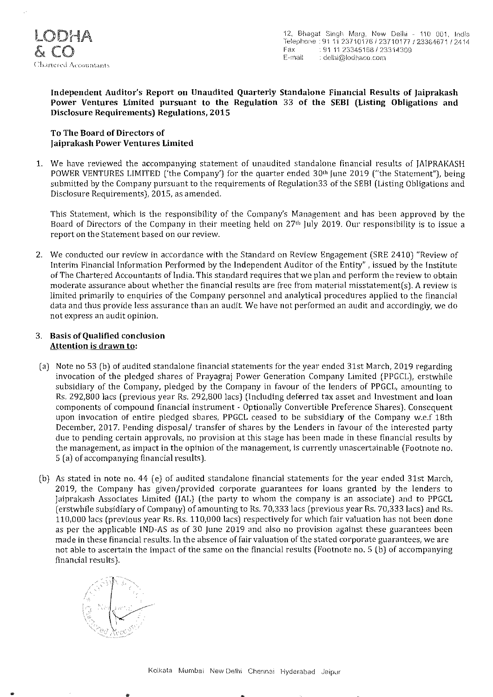

Independent Auditor's Report on Unaudited Quarterly Standalone Financial Results of Jaiprakash Power Ventures Limited pursuant to the Regulation 33 of the SEBI (Listing Obligations and Disclosure Requirements) Regulations, 2015

#### To The Board of Directors of Jaiprakash Power Ventures Limited

1. We have reviewed the accompanying statement of unaudited standalone financial results of JAIPRAKASH POWER VENTURES LIMITED ('the Company') for the quarter ended 30<sup>th</sup> June 2019 ("the Statement"), being submitted by the Company pursuant to the requirements of Regulation33 of the SEBI (Listing Obligations and Disclosure Requirements), 2015, as amended.

This Statement, which is the responsibility of the Company's Management and has been approved by the Board of Directors of the Company in their meeting held on 27th July 2019. Our responsibility is to issue a report on the Statement based on our review.

2. We conducted our review in accordance with the Standard on Review Engagement (SRE 2410) "Review of Interim Financial Information Performed by the Independent Auditor of the Entity" , issued by the Institute of The Chartered Accountants of India. This standard requires that we plan and perform the review to obtain moderate assurance about whether the financial results are free from material misstatement(s). A review is limited primarily to enquiries of the Company personnel and analytical procedures applied to the financial data and thus provide less assurance than an audit. We have not performed an audit and accordingly, we do not express an audit opinion.

#### 3. Basis of Qualified conclusion Attention is drawn to:

- (a) Note no 53 (b) of audited standalone financial statements for the year ended 31st March, 2019 regarding invocation of the pledged shares of Prayagraj Power Generation Company Limited (PPGCL), erstwhile subsidiary of the Company, pledged by the Company in favour of the lenders of PPGCL, amounting to Rs. 292,800 lacs (previous year Rs. 292,800 lacs) (Including deferred tax asset and Investment and loan components of compound financial instrument - Optionally Convertible Preference Shares). Consequent upon invocation of entire pledged sbares, PPGCL ceased to be subsidiary of the Company w.e.f 18th December, 2017. Pending disposal/ transfer of shares by the Lenders in favour of the interested party due to pending certain approvals, no provision at this stage has been made in these financial results by the management, as impact in the opinion of the management, is currently unascertainable (Footnote no. 5 (a) of accompanying financial results).
- (b) As stated in note no. 44 ( e) of audited standalone financial statements for the year ended 31st March, 2019, the Company has given/provided corporate guarantees for loans granted by the lenders to Jaiprakash Associates Limited (JAL) (the party to whom the company is an associate) and to PPGCL (erstwhile subsidiary of Company) of amounting to Rs. 70,333 lacs (previous year Rs. 70,333 lacs) and Rs. 110,000 lacs (previous year Rs. Rs. 110,000 lacs) respectively for which fair valuation has not been done as per the applicable IND-AS as of 30 June 2019 and also no provision against these guarantees been made in these financial results. In the absence of fair valuation of the stated corporate guarantees, we are not able to ascertain the impact of the same on the financial results (Footnote no. 5 (b) of accompanying financial results).

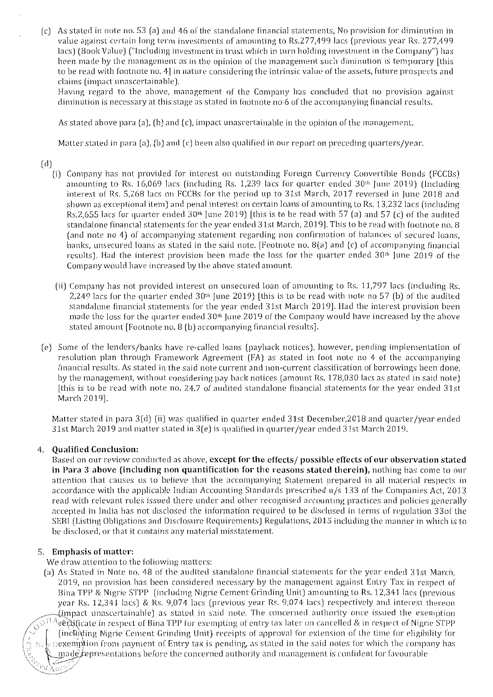(c) As stated in note no. 53 (a) and 46 of the standalone financial statements, No provision for diminution in value against certain long term investments of amounting to Rs.277,499 lacs (previous year Rs. 277,499 lacs) (Book Value) ("Including investment in trust which in turn holding investment in the Company") has been made by the management as in the opinion of the rnanagement such diminution is temporary [this to be read with footnote no. 4] in nature considering the intrinsic value of the assets, future prospects and claims (impact unascertainable).

Having regard to the above, management of the Company has concluded that no provision against diminution is necessary at this stage as stated in footnote no 6 of the accompanying financial results.

As stated above para (a), (b) and (c), impact unascertainable in the opinion of the management.

Matter stated in para [a), (b) and *(c)* been also qualified in our report on preceding quarters/year.

(d)

- (i) Company has not provided for interest on outstanding Foreign Currency Convertible Bonds (FCCBs) amounting to Rs. 16,069 lacs (including Rs. 1,239 lacs for quarter ended 30'h June 2019) (Including interest of Hs. 5,268 lacs on FCCBs for the period up to 31st March, 2017 reversed in June 2018 and shown as exceptional item) and penal interest on certain loans of amounting to Rs. 13,232 lacs (including Rs.2,655 lacs for quarter ended  $30<sup>th</sup>$  June 2019) [this is to be read with 57 (a) and 57 (c) of the audited standalone financial statements for the year ended 31st March, 2019]. This to be read with footnote no. 8 (and note no 4) of accompanying statement regarding non confirmation of balances of secured loans, banks, unsecured loans as stated in the said note. [Footnote no. 8(a) and (c) of accompanying financial results). Had the interest provision been made the loss for the quarter ended 30<sup>th</sup> June 2019 of the Company would have increased by the above stated amount.
	- (ii) Company has not provided interest on unsecured loan of amounting to Hs. 11,797 lacs (including Hs. 2,249 lacs for the quarter ended 30'h June 2019) [this is to be read with note no 57 (b) of the audited standalone financial statements for the year ended 31st March 2019]. Had the interest provision been made the loss for the quarter ended 30'h June 2019 of the Company would have increased by the above stated amount [Footnote no. 8 [b) accompanying financial results].
- [e) Some of the lenders/banks have re-called loans (payback notices), however, pending implementation of resolution plan through Framework Agreement (FA) as stated in foot note no 4 of the accompanying financial results. As stated in the said note current and non-current classification of borrowings been done, by the management, without considering pay back notices (amount Hs. 178,030 lacs as stated in said note) [this is to be read with note no. 24.7 of audited standalone financial statements for *the* year ended 31st March 2019].

Matter stated in para 3(d) (ii) was qualified in quarter ended 31st December,2018 and quarter/year ended 31 st March 2019 and matter stated in 3 (e) is qualified in quarter/year ended 31 st March 2019.

#### 4. Qualified Conclusion:

Based on our review conducted as above, except for the effects/ possible effects of our observation stated in Para 3 above (including non quantification for the reasons stated therein), nothing has come to our attention that causes us to believe that the accompanying Statement prepared in all material respects in accordance with the applicable Indian Accounting Standards prescribed u/s 133 of the Companies Act, 2013 read with relevant rules issued there under and other recognised accounting practices and policies generally accepted in India has not disclosed the information required to be disclosed in terms of regulation 330f the SEBI (Listing Obligations and Disclosure Requirements) Regulations, 2015 including the manner in which is to be disclosed, or that it contains any material misstatement

#### 5. Emphasis of matter:

 $\mathcal{L}_{\mathcal{U}}$   $\mathcal{L}_{\mathcal{U}}$ 

We draw attention to the following matters:

(a) As Stated in Note no. 48 of the audited standalone financial statements for the year ended 31st March, 2019, no provision has been considered necessary by the management against Entry Tax in respect of Bina TPP & Nigrie STPP (including Nigrie Cement Grinding Unit) amounting to Rs. 12,34·1 lacs (previous year Rs. 12,341 lacs) & Rs. 9,074 lacs (previous year Rs. 9,074 lacs) respectively and interest thereon  $\mu$ , (impact unascertainable) as stated in said note. The concerned authority once issued the exemption <sup>11 A</sup>certificate in respect of Bina TPP for exempting of entry tax later on cancelled & in respect of Nigrie STPP<br><sup>11</sup> (including Nigrie Cement Grinding Unit) receipts of approval for extension of the time for eligibilit  $D$ exemption from payment of Entry tax is pending, as stated in the said notes for which the company has  $\mod$  passive payments as  $\mod$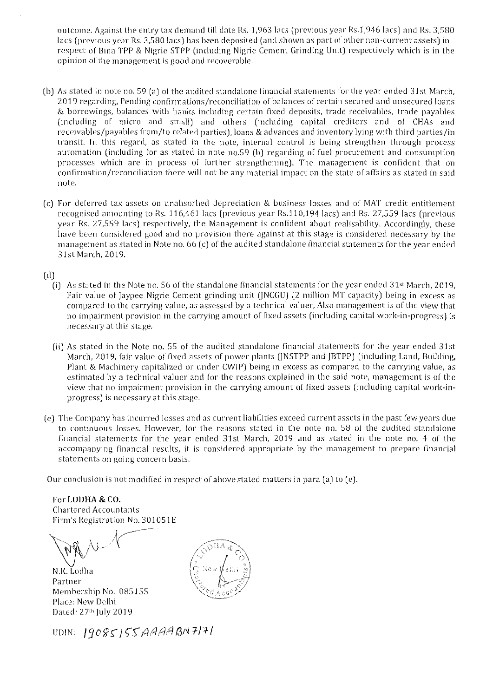outcome. Against the entry tax demand till date Hs. 1,963 lacs (previous year Hs.l,946 lacs) and Rs. 3,580 lacs (previous year Rs. 3,580 lacs) has been deposited (and shown as part of other non-current assets) in respect of Bina TPP & Nigrie STPP (including Nigrie Cement Grinding Unit) respectively which is in the **opinion of the management is good and recoverable.** 

- (b) As stated in note no. S9 (a) of the audited standalone financial statements for the year ended 31st March, **2019 regarding, Pending confirmations/reconciliation of balances of certain secured and unsecured loans**  & borrowings, balances with banks including certain fixed deposits, trade receivables, trade payables (including of micro and small) and others (including capital creditors and of CHAs and receivables/payables from/to related parties), loans & advances and inventory lying with third parties/in transit. In this regard, as stated in the note, internal control is being strengthen through process automation (including for as stated in note no.59 (b) regarding of fuel procurement and consumption **processes which are in process of further strengthening). The management is confident that on**  confirmation/reconciliation there will not be any material impact on the state of affairs as stated in said **note.**
- (c) For deferred tax assets on unabsorbed depreciation & business losses and of MAT credit entitlement recognised amounting to Rs. 116,461 lacs (previous year Rs.110,194 lacs) and Rs. 27,559 lacs (previous year Rs. 27,559 lacs) respectively, the Management is confident about realisability. Accordingly, these have been considered good and no provision there against at this stage is considered necessary by the management as stated in Note no. 66 (c) of the audited standalone financial statements for the year ended 31st March, 2019.

(d)

- (i) As stated in the Note no. 56 of the standalone financial statements for the year ended 31" March, 2019, Fair value of Jaypee Nigrie Cement grinding unit (JNCGU) (2 million MT capacity) being in excess as compared to the carrying value, as assessed by a technical valuer, Also management is of the view that no impairment provision in the carrying amount of fixed assets (including capital work-in-progress) is **necessary at this stage.**
- (ii) As stated in the Note no. 55 of the audited standalone financial statements [or the year ended 31st March, 2019, fair value of fixed assets of power plants (JNSTPP and JETPP) (including Land, Building, Plant & Machinery capitalized or under CWIP) being in excess as compared to the carrying value, as estimated by a technical valuer and for the reasons explained in the said note, management is of the **view that no impairment provision in the carrying amount of fixed assets (including capital work-in**progress) is necessary at this stage.
- (e) The Company has incurred losses and as current liabilities exceed current assets in the past few years due to continuous losses. However, for the reasons stated in the note no. 58 of the audited standalone financial statements for the year ended 31st March, 2019 and as stated in the note no. 4· of the accompanying financial results, it is considered appropriate by the management to prepare financial **statements on going concern basis.**

Our conclusion is not modified in respect of above stated matters in para (a) to (e).

For LODHA **& CO. Chartered Accountants**  Firm's Registration No. 301051E

 $\sum_{\alpha}$   $\lambda_1$ 

N.J(. Lodha **Partner**  Membership No. 085155 Place: New Delhi Dated: 27'" July 2019

UDIN: 19085155AAAABN7171

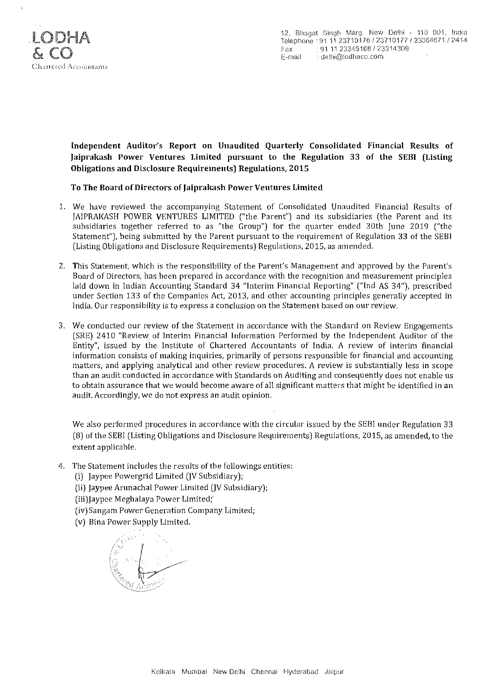

Independent Anditor's Report on Unaudited Quarterly Consolidated Financial Results of Jaiprakash Power Ventures Limited pursuant to the Regulation 33 of the SEBI (Listing Obligations and Disclosure Requirements) Regulations, 2015

#### To The Board of Directors of Jaiprakash Power Ventures Limited

- 1. We have reviewed the accompanying Statement of Consolidated Unaudited Financial Results of JAIPRAKASH POWER VENTURES LIMITED ("the Parent") and its subsidiaries (the Parent and its subsidiaries together referred to as "the Group") for the quarter ended 30th June 2019 ("the Statement"), being submitted by the Parent pursuant to the requirement of Regulation 33 of the SEBI (Listing Obligations and Disclosure Requirements) Regulations, 2015, as amended.
- 2. This Statement, wbich is the responsibility of the Parent's Management and approved by the Parent's Board of Directors, has been prepared in accordance with the recognition and measurement principles laid down in Indian Accounting Standard 34 "Interim Financial Reporting" ("Ind AS 34"), prescribed under Section 133 of the Companies Act, 2013, and other accounting principles generally accepted in India. Our responsibility is to express a conclusion on the Statement based on our review.
- 3. We conducted our review of the Statement in accordance with the Standard on Review Engagements (SRE) 2410 "Review of Interim Financial Information Performed by the Independent Auditor of the Entity", issued by the Institute of Chartered Accountants of India. A review of interim financial information consists of making inquiries, primarily of persons responsible for financial and accounting matters, and applying analytical and other review procedures. A review is substantially less in scope than an audit conducted in accordance with Standards on Auditing and consequently does not enable us to obtain assurance that we would become aware of all significant matters that might be identified in an audit. Accordingly, we do not express an audit opinion.

We also performed procedures in accordance with the circular issued by the SEBI under Regulation 33 (8) of the SEBI (Listing Obligations and Disclosure Requirements) Regulations, 2015, as amended, to the extent applicable.

- 4. The Statement includes the results of the followings entities.
	- (i) Jaypee Powergrid Limited (JV Subsidiary);
	- (ii) Jaypee Arunachal Power Limited (JV Subsidiary);
	- (iii)Jaypee Meghalaya Power Limited;
	- (iv) Sangam Power Generation Company Limited;
	- (v) Bina Power Supply Limited.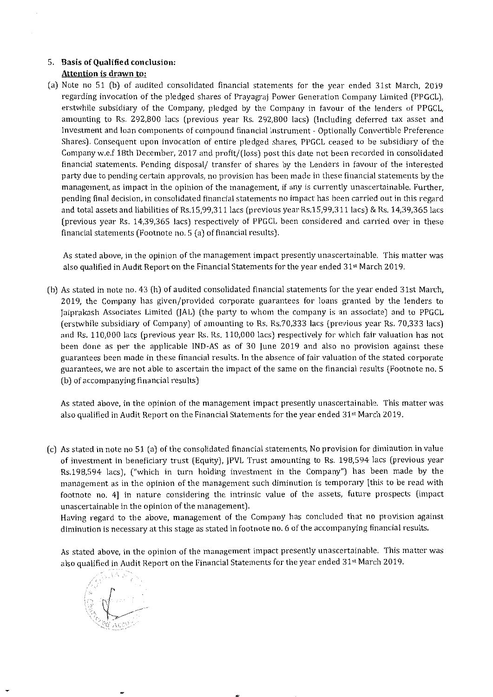## 5. **Basis of Qualified conclusion: Attention is drawn to:**

 $\frac{A}{A}$  Note no 51 (b) of a Udited consolidated financial statements for the year ended 31st March, 2019 region of the pleasured consolidated intended statements for the year ended 31st March, 2019 regarding invocation of the pledged shares of Prayagraj Power Generation Company Limited (PPGCL), erstwhile subsidiary of the Company, pledged by the Company in favour of the lenders of PPGCL, amounting to Rs. 292,800 lacs (previous year Rs. 292,800 lacs) (lncluding deferred tax asset and Investment and loan components of compound financial instrument - Optionally Convertible Preference Shares). Consequent upon invocation of entire pledged shares, PPGCL ceased to be subsidiary of the Company w.e.f 18th December, 2017 and profit/(loss) post this date not been recorded in consolidated financial statements. Pending disposal/ transfer of shares by the Lenders in favour of the interested party due to pending certain approvals, no provision has been made in these financial statements by the management, as impact in the opinion of the management, if any is currently unascertainable. Further, pending final decision, in consolidated financial statements no impact has been carried out in this regard and total assets and liabilities of Rs. 15,99,311 lacs (previous year Rs. 15,99,311 lacs) & Rs. 14,39,365 lacs (previous year Rs. 14,39,365 lacs) respectively of PPGCL been considered and carried over in these<br>financial statements (Footnote no. 5 (a) of financial results).

As stated above, in the opinion of the management impact presently unascertainable. This matter was stated above, in the opinion of the management impact presently unascertainable. This mat

(b] As stated in note no. 43 (h) of audited consolidated financial statements for the year ended 31st March, stated in note no, 45 (n) or addited consondated mancial statements for the year ended 51st March, 2019, the Company has given/provided corporate guarantees for loans granted by the lenders to Jaiprakash Associates Limited (JAL) (the party to whom the company is an associate) and to PPGCL (erstwhile subsidiary of Company) of amounting to Rs. Rs. 70,333 lacs (previous year Rs. 70,333 lacs) and Rs. 110,000 lacs (previous year Rs. Rs. 110,000 lacs) respectively for which fair valuation has not been done as per the applicable IND-AS as of 30 June 2019 and also no provision against these guarantees been made in these financial results. In the absence of fair valuation of the stated corporate guarantees, we are not able to ascertain the impact of the same on the financial results (Footnote no. 5)<br>(b) of accompanying financial results)

As stated above, in the opinion of the management impact presently unascertainable. This matter was stated above, in the opinion of the management impact presently unascertamable. This mat

(c) As stated in note no 51 (a] of the consolidated financial statements, No provision for diminution in value stated in note no 51 (a) of the consolidated infancial statements, No provision for unimidation in value of investment in beneficiary trust (Equity), JPVL Trust amounting to Rs. 198,594 lacs (previous year Rs.  $198,594$  lacs), ("which in turn holding investment in the Company") has been made by the management as in the opinion of the management such diminution is temporary [this to be read with footnote no. 4] in nature considering the intrinsic value of the assets, future prospects (impact unascertainable in the opinion of the management).

Having regard to the above, management of the Company has concluded that no provision against<br>diminution is necessary at this stage as stated in footnote no. 6 of the accompanying financial results.

 $A \sim \frac{1}{2}$  stated above, in the opinion of the management impact presently under was certained was certained was certained was certained was certained was certained was certained was certained was certained was certaine stated above, in the opinion of the management impact presently unastertainable. This ma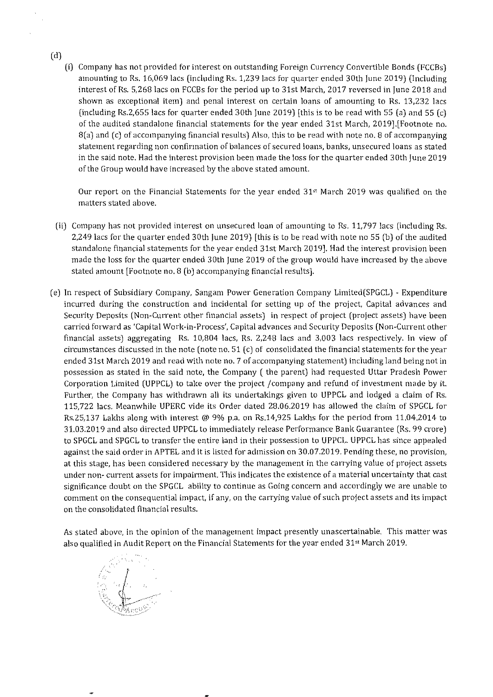- (d)
	- (i) Company has not provided for interest on outstanding Foreign Currency Convertible Bonds (FCCBs) mpany has not provided for filterest on outstanding Poreign Currently Convertible Bonds (PCCBS) amounting to Rs. 16,069 lacs (including Rs. 1,239 lacs for quarter ended 30th June 2019) (Including interest of Rs. 5,268 lacs on FCCBs for the period up to 31st March, 2017 reversed in June 2018 and shown as exceptional item) and penal interest on certain loans of amounting to Rs. 13,232 lacs (including Rs.2,655 lacs for quarter ended 30th June 2019) [this is to be read with 55 (a) and 55 (c) of the audited standalone financial statements for the year ended 31st March, 2019]. [Footnote no.  $8(a)$  and (c) of accompanying financial results) Also, this to be read with note no. 8 of accompanying statement regarding non confirmation of balances of secured loans, banks, unsecured loans as stated in the said note. Had the interest provision been made the loss for the quarter ended 30th June 2019<br>of the Group would have increased by the above stated amount.

Our report on the Financial Statements for the year ended 31" March 2019 was qualified on the mateport on the rinar

- (ii) Company has not provided interest on unsecured loan of amounting to Rs. 11,797 lacs (including Rs.  $249$  lacks for provided interest on disecuted idan or amounting to rs. 11,797 lacs (including rs. 2,249 lacs for the quarter ended 30th June 2019) [this is to be read with note no 55 (b) of the audited standalone financial statements for the year ended 31st March 2019]. Had the interest provision been made the loss for the quarter ended 30th June 2019 of the group would have increased by the above<br>stated amount [Footnote no. 8 (b) accompanying financial results].
- $\mathcal{L}$  In respect of Subsidiary Company Limited(SPGCL) Expenditure Company Limited(SPGCL) Expenditure Company Limited(SPGCL) Expenditure Company Limited(SPGCL) Expenditure Company Limited(SPGCL) Expenditure Co respect of substituting company, sangain fower defieration company unified of deligit expenditure. incurred during the construction and incidental for setting up of the project, Capital advances and Security Deposits (Non-Current other financial assets) in respect of project (project assets) have been carried forward as 'Capital Work-in-Process', Capital advances and Security Deposits (Non-Current other financial assets) aggregating Rs.  $10,804$  lacs, Rs.  $2,248$  lacs and  $3,003$  lacs respectively. In view of circumstances discussed in the note (note no. 51 (c) of consolidated the financial statements for the year ended 31st March 2019 and read with note no. 7 of accompanying statement) including land being not in possession as stated in the said note, the Company (the parent) had requested Uttar Pradesh Power Corporation Limited (UPPCL) to take over the project /company and refund of investment made by it. Further, the Company has withdrawn all its undertakings given to UPPCL and lodged a claim of Rs. 115,722 lacs. Meanwhile UPERC vide its Order dated 28.06.2019 has allowed the claim of SPGCL for Rs.25,137 Lakhs along with interest @ 9% p.a. on Rs.14,925 Lakhs for the period from  $11.04.2014$  to 31.03.2019 and also directed UPPCL to immediately release Performance Bank Guarantee (Rs. 99 crore) to SPGCL and SPGCL to transfer the entire land in their possession to UPPCL. UPPCL has since appealed against the said order in APTEL and it is listed for admission on 30.07.2019. Pending these, no provision, at this stage, has been considered necessary by the management in the carrying value of project assets under non- current assets for impairment. This indicates the existence of a material uncertainty that cast significance doubt on the SPGCL ability to continue as Going concern and accordingly we are unable to comment on the consequential impact, if any, on the carrying value of such project assets and its impact<br>on the consolidated financial results.

 $\mathcal{A}$  stated above, in the opinion of the management inpact presently unascertainable. This matter was considered was considered was considered was considered was considered was considered was considered was considered stated above, in the opinion of the management impact presently unaster callable. This ma

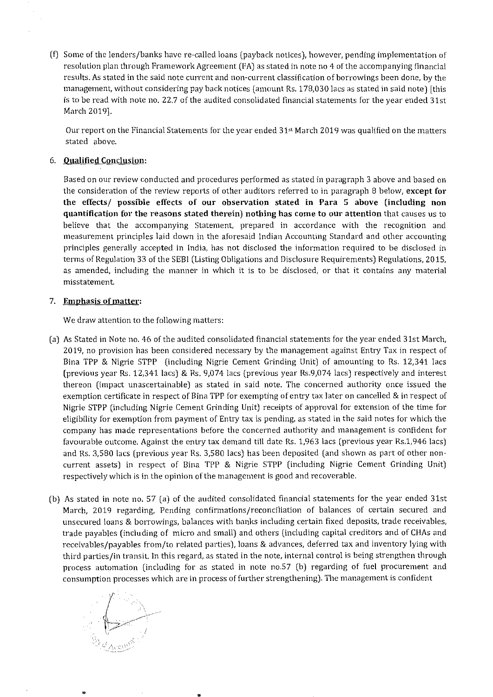(I) Some of the lenders/banks have re-called loans (payback notices), however, pending implementation of resolution plan through Framework Agreement (FA) as stated in note no 4 of the accompanying financial results. As stated in the said note current and non-current classification of borrowings been done, by the management, without considering pay back notices (amount Rs. 178,030 lacs as stated in said note) [this is the construction of the audit notes notes for the audit of the statement of the statements for the year end  $\frac{1001000}{100101}$ 

Our report on the Financial Statements for the year ended 31" March 2019 was qualified on the matters a report on the

#### 6. **Qualified Conclusion:**

Based on our review conducted and procedures performed as stated in paragraph 3 above and based on the consideration of the review reports of other auditors referred to in paragraph 8 below, **except for the effects/ possible effects of our observation stated in Para 5 above (including non quantification for the reasons stated therein) nothing has come to our attention** that causes us to believe that the accompanying Statement, prepared in accordance with the recognition and measurement principles laid down in the aforesaid Indian Accounting Standard and other accounting principles generally accepted in India, has not disclosed the information required to be disclosed in terms of Regulation 33 of the SEBI (Listing Obligations and Disclosure Requirements) Regulations and Disclosure R as a regulation be disclosed, in which is to be disclosed, or the manner in  $\alpha$  is to be disclosed. as amended, including the manner in which it is to be disclosed, or that it contains any material misstatement.

#### 7. **Emphasis of matter:**

We draw attention to the following matters:

- (a) As Stated in Note  $\alpha$  of the audited consolidated financial statements for the year ended 31st  $\alpha$ beated in two no. Fo of the addition consolidated finalities statements for the year entred 513t March, 2019, no provision has been considered necessary by the management against Entry Tax in respect of Bina TPP & Nigrie STPP (including Nigrie Cement Grinding Unit) of amounting to Rs. 12,341 lacs (previous year Rs. 12,341 lacs (previous year Rs. 9,074 lacs (previous year Rs. 9,074 lacs) respectively and interest  $\frac{1}{2}$ thereon  $\frac{1}{\sqrt{1-\frac{1}{\sqrt{1-\frac{1}{\sqrt{1-\frac{1}{\sqrt{1-\frac{1}{\sqrt{1-\frac{1}{\sqrt{1-\frac{1}{\sqrt{1-\frac{1}{\sqrt{1-\frac{1}{\sqrt{1-\frac{1}{\sqrt{1-\frac{1}{\sqrt{1-\frac{1}{\sqrt{1-\frac{1}{\sqrt{1-\frac{1}{\sqrt{1-\frac{1}{\sqrt{1-\frac{1}{\sqrt{1-\frac{1}{\sqrt{1-\frac{1}{\sqrt{1-\frac{1}{\sqrt{1-\frac{1}{\sqrt{1-\frac{1}{\sqrt{1-\frac{1}{\sqrt{1-\frac{1}{\sqrt{1-\frac{1}{$ thereon (impact unascertainable) as stated in said note. The concerned authority once issued the exemption certificate in respect of Bina TPP for exempting of entry tax later on cancelled & in respect of  $\sum_{i=1}^{n}$  (including Nigrie Cement Grinding Grinding Grinding Cement Grieched & Hirespect of eligibility for exemption from payment of Entry tax is performed in the same that the same the same in the same in the same in the same in the same in the same in the same in the same in the same in the same in the same in eligibility for exemption from payment of Entry tax is pending, as stated in the said notes for which the<br>company has made representations before the concerned authority and management is confident for favour and the entry tax demand to the entry the entry the management is contract.  $\frac{1}{2}$  can be concerned and revious year Rs. 3,580 lacs (previous year Rs. 3,590 lacs) has part of other nonand Rs. 3,580 lacs (previous year Rs. 3,580 lacs) has been deposited (and shown as part of other non-<br>current assets) in respect of Bina TPP & Nigrie STPP (including Nigrie Cement Grinding Unit) respectively which is in the opinion of the management is good and recoverable.
- (b) As stated in note no. 57 (a) of the audited consolidated financial statements for the year ended 31st March, 2019 regarding, Pending confirmations/reconciliation of balances of certain secured and unsecured loans & borrowings, balances with banks including certain fixed deposits, trade receivables,  $t_{\rm E}$  is called forming of microscopic microscopic microscopic and  $\epsilon$  creditors and  $\epsilon$   $\epsilon$   $\epsilon$   $\epsilon$   $\epsilon$ trade payables (including of micro and small) and others (including capital creditors and of CHAs and<br>receivables/payables from/to related parties), loans & advances, deferred tax and inventory lying with their and pay ables in only to related parties), ioans of duvances, deferred the note in the note of strengthen participation (in cluding for as stated in not note, including of fuel procurement and want process automation (including for as stated in note no.57 (b) regarding of fuel procurement and<br>consumption processes which are in process of further strengthening). The management is confident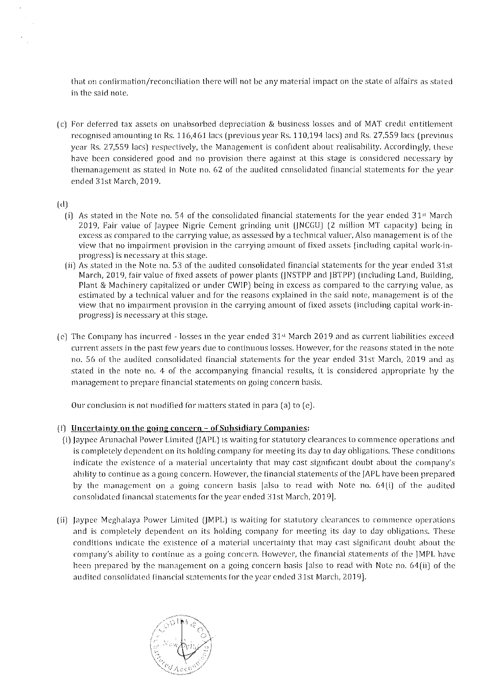that on confirmation/reconciliation there will not be any material impact on the state of affairs as stated in the said note.

(c) For deferred tax assets on unabsorbed depreciation & business losses and of MAT credit entitlement recognised amounting to Rs. 116,461 lacs (previous year Rs. 110,194 lacs) and Rs. 27,559 lacs (previous year Rs. 27,559 lacs) respectively, the Management is confident about realisability. Accordingly, these have been considered good and no provision there against at this stage is considered necessary by themanagement as stated in Note no. 62 of the audited consolidated financial statements for the year ended 31st March, 2019.

#### (d)

- (i) As stated in the Note no. 54 of the consolidated financial statements for the year ended  $31<sup>st</sup>$  March 2019, Fair value of Jaypee Nigrie Cement grinding unit (JNCGU) (2 million MT capacity) being in excess as compared to the carrying value, as assessed by a tcchnical valuer, Also management is of the *vicw* that no impairment provision in the carrying amount of fixed assets (including capital work~inprogress) is necessary at this stage.
- (ii) As stated in the Note no. S3 of the audited consolidated financial statements for the year ended 31st March, 2019, fair value of fixed assets of power plants (jNSTPP and JBTPP) (including Land, Building, Plant & Machinery capitalized or under CWIP) being in excess as compared to the carrying value, as estimated hy a technical valuer and for the reasons explained in the said note, management is of the view that no impairment provision in the carrying amount of fixed assets (including capital work-inprogress) is necessary at this stage.
- (e) The Company has incurred losses in the year ended  $31<sup>st</sup>$  March 2019 and as current liabilities exceed current assets in the past few years due to continuous losses, However, for the reasons stated in the note no. 56 of the audited consolidated financial statements for the year ended 31st March, 2019 and as stated in the note no, 4- of the accompanying financial results, it is considered appropriate by the management to prepare financial statements on going concern basis.

Our conclusion is not modified for matters stated in para (a) to (e).

#### (f) Uncertainty on the going concern  $-$  of Subsidiary Companies:

- (i) Jaypee Arunachal Power Limited (JAPL) is waiting for statutory clearances to commence operations and is completely dependent on its holding company for meeting its day to day obligations. These conditions indicate the existence of a material uncertainty that may cast significant doubt about the company's 3bility to continue as a going concern. However, the financial statements of the JAPL *have* been prepared by the management on a going concern basis [also to read with Note no. 64(i] of the audited consolidated financial statements for the year ended 31st March, 2019].
- (ii) Jaypee Meghalaya Power Limited (JMPL) is waiting for statutory clearances to commence operations and is completely dependent on its holding company for meeting its day to day obligations. These conditions indicate the existence of a material uncertainty that may cast significant doubt about the company's ability to continue as a going concern. However, the financial statements of the JMPL have been prepared hy the management on a going concern basis [also to read with Note no. 64(ii) of the audited consolidated financial statements for the year ended 31st March, 2019].